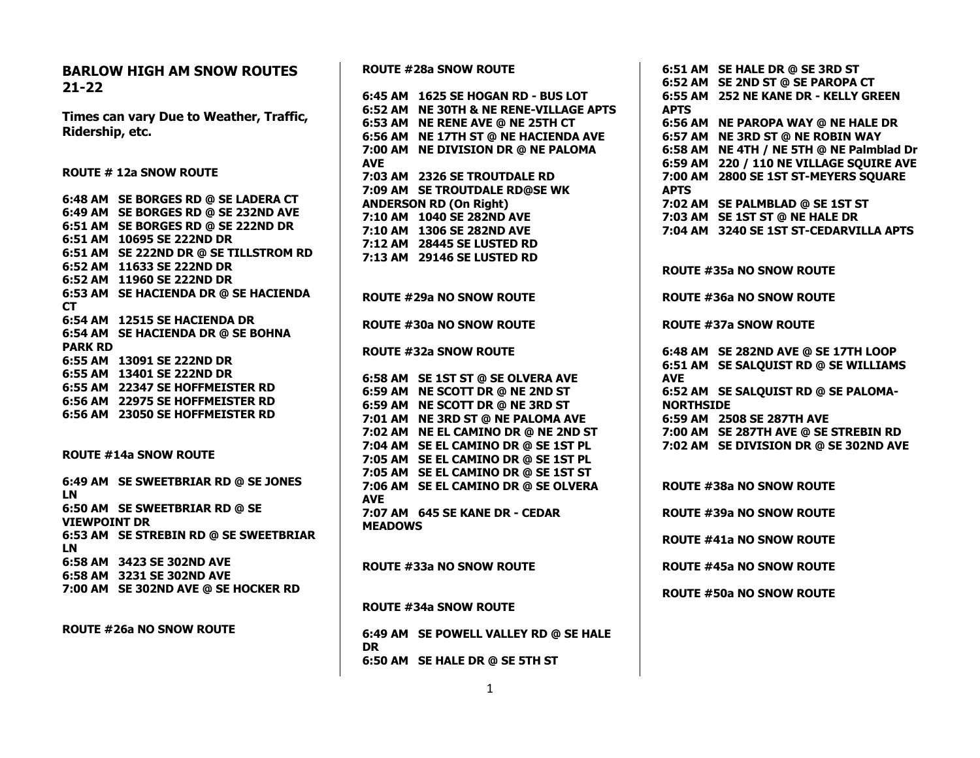**BARLOW HIGH AM SNOW ROUTES 21-22 Times can vary Due to Weather, Traffic, Ridership, etc. ROUTE # 12a SNOW ROUTE 6:48 AM SE BORGES RD @ SE LADERA CT 6:49 AM SE BORGES RD @ SE 232ND AVE 6:51 AM SE BORGES RD @ SE 222ND DR 6:51 AM 10695 SE 222ND DR 6:51 AM SE 222ND DR @ SE TILLSTROM RD 6:52 AM 11633 SE 222ND DR 6:52 AM 11960 SE 222ND DR 6:53 AM SE HACIENDA DR @ SE HACIENDA CT 6:54 AM 12515 SE HACIENDA DR 6:54 AM SE HACIENDA DR @ SE BOHNA PARK RD 6:55 AM 13091 SE 222ND DR 6:55 AM 13401 SE 222ND DR 6:55 AM 22347 SE HOFFMEISTER RD 6:56 AM 22975 SE HOFFMEISTER RD 6:56 AM 23050 SE HOFFMEISTER RD ROUTE #14a SNOW ROUTE 6:49 AM SE SWEETBRIAR RD @ SE JONES LN 6:50 AM SE SWEETBRIAR RD @ SE VIEWPOINT DR 6:53 AM SE STREBIN RD @ SE SWEETBRIAR LN 6:58 AM 3423 SE 302ND AVE 6:58 AM 3231 SE 302ND AVE 7:00 AM SE 302ND AVE @ SE HOCKER RD ROUTE #26a NO SNOW ROUTE AVE AVE MEADOWS**

**ROUTE #28a SNOW ROUTE 6:45 AM 1625 SE HOGAN RD - BUS LOT 6:52 AM NE 30TH & NE RENE-VILLAGE APTS 6:53 AM NE RENE AVE @ NE 25TH CT 6:56 AM NE 17TH ST @ NE HACIENDA AVE 7:00 AM NE DIVISION DR @ NE PALOMA 7:03 AM 2326 SE TROUTDALE RD 7:09 AM SE TROUTDALE RD@SE WK ANDERSON RD (On Right) 7:10 AM 1040 SE 282ND AVE 7:10 AM 1306 SE 282ND AVE 7:12 AM 28445 SE LUSTED RD 7:13 AM 29146 SE LUSTED RD ROUTE #29a NO SNOW ROUTE ROUTE #30a NO SNOW ROUTE ROUTE #32a SNOW ROUTE 6:58 AM SE 1ST ST @ SE OLVERA AVE 6:59 AM NE SCOTT DR @ NE 2ND ST 6:59 AM NE SCOTT DR @ NE 3RD ST 7:01 AM NE 3RD ST @ NE PALOMA AVE 7:02 AM NE EL CAMINO DR @ NE 2ND ST 7:04 AM SE EL CAMINO DR @ SE 1ST PL 7:05 AM SE EL CAMINO DR @ SE 1ST PL 7:05 AM SE EL CAMINO DR @ SE 1ST ST 7:06 AM SE EL CAMINO DR @ SE OLVERA 7:07 AM 645 SE KANE DR - CEDAR ROUTE #33a NO SNOW ROUTE ROUTE #34a SNOW ROUTE 6:49 AM SE POWELL VALLEY RD @ SE HALE 6:50 AM SE HALE DR @ SE 5TH ST APTS APTS AVE**

**6:51 AM SE HALE DR @ SE 3RD ST 6:52 AM SE 2ND ST @ SE PAROPA CT 6:55 AM 252 NE KANE DR - KELLY GREEN 6:56 AM NE PAROPA WAY @ NE HALE DR 6:57 AM NE 3RD ST @ NE ROBIN WAY 6:58 AM NE 4TH / NE 5TH @ NE Palmblad Dr 6:59 AM 220 / 110 NE VILLAGE SQUIRE AVE 7:00 AM 2800 SE 1ST ST-MEYERS SQUARE 7:02 AM SE PALMBLAD @ SE 1ST ST 7:03 AM SE 1ST ST @ NE HALE DR 7:04 AM 3240 SE 1ST ST-CEDARVILLA APTS ROUTE #35a NO SNOW ROUTE ROUTE #36a NO SNOW ROUTE ROUTE #37a SNOW ROUTE 6:48 AM SE 282ND AVE @ SE 17TH LOOP 6:51 AM SE SALQUIST RD @ SE WILLIAMS 6:52 AM SE SALQUIST RD @ SE PALOMA-NORTHSIDE 6:59 AM 2508 SE 287TH AVE 7:00 AM SE 287TH AVE @ SE STREBIN RD 7:02 AM SE DIVISION DR @ SE 302ND AVE ROUTE #38a NO SNOW ROUTE ROUTE #39a NO SNOW ROUTE ROUTE #41a NO SNOW ROUTE ROUTE #45a NO SNOW ROUTE ROUTE #50a NO SNOW ROUTE**

**DR**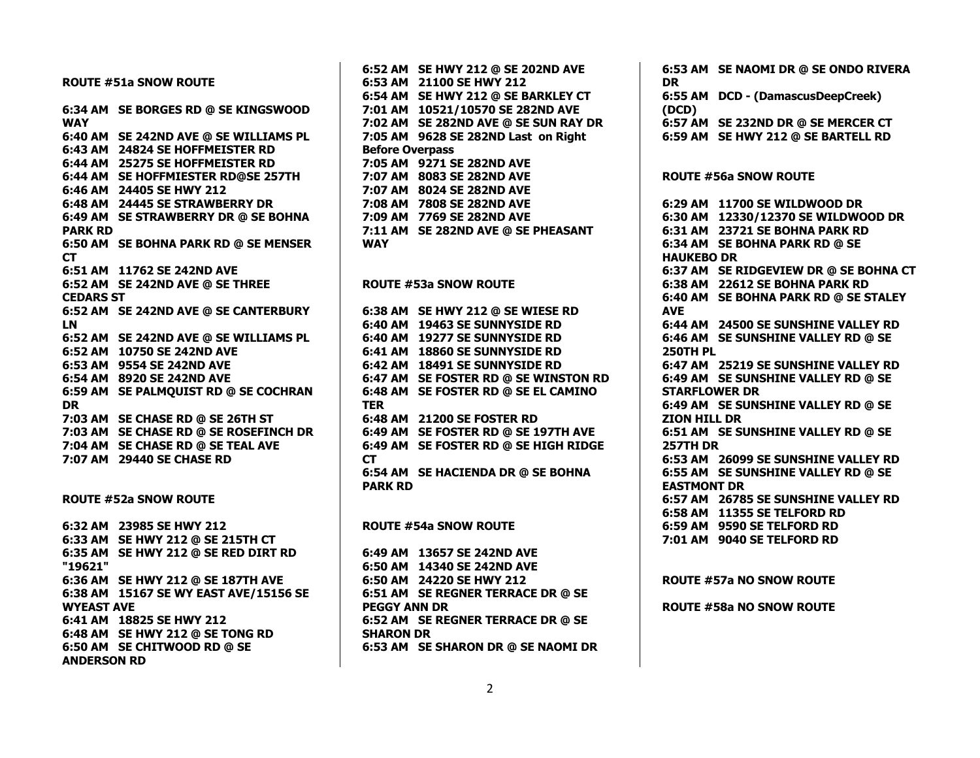**ROUTE #51a SNOW ROUTE 6:34 AM SE BORGES RD @ SE KINGSWOOD WAY 6:40 AM SE 242ND AVE @ SE WILLIAMS PL 6:43 AM 24824 SE HOFFMEISTER RD 6:44 AM 25275 SE HOFFMEISTER RD 6:44 AM SE HOFFMIESTER RD@SE 257TH 6:46 AM 24405 SE HWY 212 6:48 AM 24445 SE STRAWBERRY DR 6:49 AM SE STRAWBERRY DR @ SE BOHNA PARK RD 6:50 AM SE BOHNA PARK RD @ SE MENSER CT 6:51 AM 11762 SE 242ND AVE 6:52 AM SE 242ND AVE @ SE THREE CEDARS ST 6:52 AM SE 242ND AVE @ SE CANTERBURY LN 6:52 AM SE 242ND AVE @ SE WILLIAMS PL 6:52 AM 10750 SE 242ND AVE 6:53 AM 9554 SE 242ND AVE 6:54 AM 8920 SE 242ND AVE 6:59 AM SE PALMQUIST RD @ SE COCHRAN DR 7:03 AM SE CHASE RD @ SE 26TH ST 7:03 AM SE CHASE RD @ SE ROSEFINCH DR 7:04 AM SE CHASE RD @ SE TEAL AVE 7:07 AM 29440 SE CHASE RD ROUTE #52a SNOW ROUTE 6:32 AM 23985 SE HWY 212 6:33 AM SE HWY 212 @ SE 215TH CT 6:35 AM SE HWY 212 @ SE RED DIRT RD "19621" 6:36 AM SE HWY 212 @ SE 187TH AVE 6:38 AM 15167 SE WY EAST AVE/15156 SE WYEAST AVE 6:41 AM 18825 SE HWY 212 6:48 AM SE HWY 212 @ SE TONG RD 6:50 AM SE CHITWOOD RD @ SE ANDERSON RD**

**6:52 AM SE HWY 212 @ SE 202ND AVE 6:53 AM 21100 SE HWY 212 6:54 AM SE HWY 212 @ SE BARKLEY CT 7:01 AM 10521/10570 SE 282ND AVE 7:02 AM SE 282ND AVE @ SE SUN RAY DR 7:05 AM 9628 SE 282ND Last on Right Before Overpass 7:05 AM 9271 SE 282ND AVE 7:07 AM 8083 SE 282ND AVE 7:07 AM 8024 SE 282ND AVE 7:08 AM 7808 SE 282ND AVE 7:09 AM 7769 SE 282ND AVE 7:11 AM SE 282ND AVE @ SE PHEASANT WAY ROUTE #53a SNOW ROUTE 6:38 AM SE HWY 212 @ SE WIESE RD 6:40 AM 19463 SE SUNNYSIDE RD 6:40 AM 19277 SE SUNNYSIDE RD 6:41 AM 18860 SE SUNNYSIDE RD 6:42 AM 18491 SE SUNNYSIDE RD 6:47 AM SE FOSTER RD @ SE WINSTON RD 6:48 AM SE FOSTER RD @ SE EL CAMINO TER 6:48 AM 21200 SE FOSTER RD 6:49 AM SE FOSTER RD @ SE 197TH AVE 6:49 AM SE FOSTER RD @ SE HIGH RIDGE CT 6:54 AM SE HACIENDA DR @ SE BOHNA PARK RD ROUTE #54a SNOW ROUTE 6:49 AM 13657 SE 242ND AVE 6:50 AM 14340 SE 242ND AVE 6:50 AM 24220 SE HWY 212 6:51 AM SE REGNER TERRACE DR @ SE PEGGY ANN DR 6:52 AM SE REGNER TERRACE DR @ SE SHARON DR 6:53 AM SE SHARON DR @ SE NAOMI DR**

**6:53 AM SE NAOMI DR @ SE ONDO RIVERA DR 6:55 AM DCD - (DamascusDeepCreek) (DCD) 6:57 AM SE 232ND DR @ SE MERCER CT 6:59 AM SE HWY 212 @ SE BARTELL RD ROUTE #56a SNOW ROUTE 6:29 AM 11700 SE WILDWOOD DR 6:30 AM 12330/12370 SE WILDWOOD DR 6:31 AM 23721 SE BOHNA PARK RD 6:34 AM SE BOHNA PARK RD @ SE HAUKEBO DR 6:37 AM SE RIDGEVIEW DR @ SE BOHNA CT 6:38 AM 22612 SE BOHNA PARK RD 6:40 AM SE BOHNA PARK RD @ SE STALEY AVE 6:44 AM 24500 SE SUNSHINE VALLEY RD 6:46 AM SE SUNSHINE VALLEY RD @ SE 250TH PL 6:47 AM 25219 SE SUNSHINE VALLEY RD 6:49 AM SE SUNSHINE VALLEY RD @ SE STARFLOWER DR 6:49 AM SE SUNSHINE VALLEY RD @ SE ZION HILL DR 6:51 AM SE SUNSHINE VALLEY RD @ SE 257TH DR 6:53 AM 26099 SE SUNSHINE VALLEY RD 6:55 AM SE SUNSHINE VALLEY RD @ SE EASTMONT DR 6:57 AM 26785 SE SUNSHINE VALLEY RD 6:58 AM 11355 SE TELFORD RD 6:59 AM 9590 SE TELFORD RD 7:01 AM 9040 SE TELFORD RD ROUTE #57a NO SNOW ROUTE**

**ROUTE #58a NO SNOW ROUTE**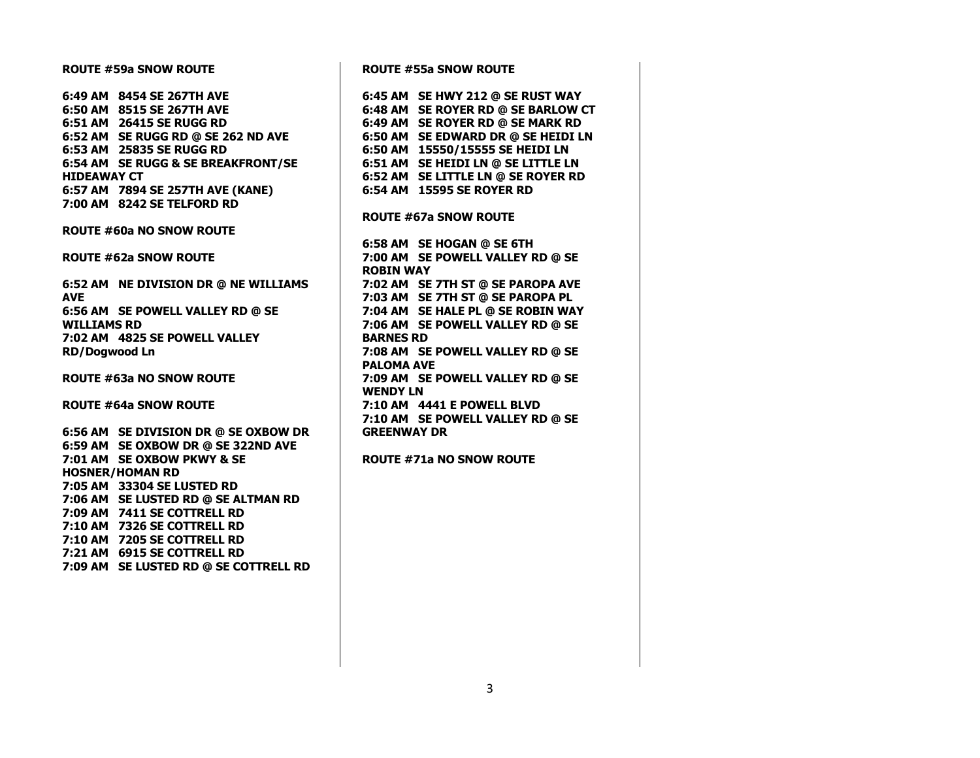## **ROUTE #59a SNOW ROUTE**

**6:49 AM 8454 SE 267TH AVE 6:50 AM 8515 SE 267TH AVE 6:51 AM 26415 SE RUGG RD 6:52 AM SE RUGG RD @ SE 262 ND AVE 6:53 AM 25835 SE RUGG RD 6:54 AM SE RUGG & SE BREAKFRONT/SE HIDEAWAY CT 6:57 AM 7894 SE 257TH AVE (KANE) 7:00 AM 8242 SE TELFORD RD**

## **ROUTE #60a NO SNOW ROUTE**

**ROUTE #62a SNOW ROUTE**

**6:52 AM NE DIVISION DR @ NE WILLIAMS AVE 6:56 AM SE POWELL VALLEY RD @ SE WILLIAMS RD 7:02 AM 4825 SE POWELL VALLEY RD/Dogwood Ln**

**ROUTE #63a NO SNOW ROUTE**

**ROUTE #64a SNOW ROUTE**

**6:56 AM SE DIVISION DR @ SE OXBOW DR 6:59 AM SE OXBOW DR @ SE 322ND AVE 7:01 AM SE OXBOW PKWY & SE HOSNER/HOMAN RD 7:05 AM 33304 SE LUSTED RD 7:06 AM SE LUSTED RD @ SE ALTMAN RD 7:09 AM 7411 SE COTTRELL RD 7:10 AM 7326 SE COTTRELL RD 7:10 AM 7205 SE COTTRELL RD 7:21 AM 6915 SE COTTRELL RD 7:09 AM SE LUSTED RD @ SE COTTRELL RD** **ROUTE #55a SNOW ROUTE 6:45 AM SE HWY 212 @ SE RUST WAY 6:48 AM SE ROYER RD @ SE BARLOW CT 6:49 AM SE ROYER RD @ SE MARK RD 6:50 AM SE EDWARD DR @ SE HEIDI LN 6:50 AM 15550/15555 SE HEIDI LN 6:51 AM SE HEIDI LN @ SE LITTLE LN 6:52 AM SE LITTLE LN @ SE ROYER RD 6:54 AM 15595 SE ROYER RD ROUTE #67a SNOW ROUTE 6:58 AM SE HOGAN @ SE 6TH 7:00 AM SE POWELL VALLEY RD @ SE ROBIN WAY 7:02 AM SE 7TH ST @ SE PAROPA AVE 7:03 AM SE 7TH ST @ SE PAROPA PL 7:04 AM SE HALE PL @ SE ROBIN WAY 7:06 AM SE POWELL VALLEY RD @ SE BARNES RD 7:08 AM SE POWELL VALLEY RD @ SE PALOMA AVE 7:09 AM SE POWELL VALLEY RD @ SE WENDY LN 7:10 AM 4441 E POWELL BLVD 7:10 AM SE POWELL VALLEY RD @ SE GREENWAY DR**

**ROUTE #71a NO SNOW ROUTE**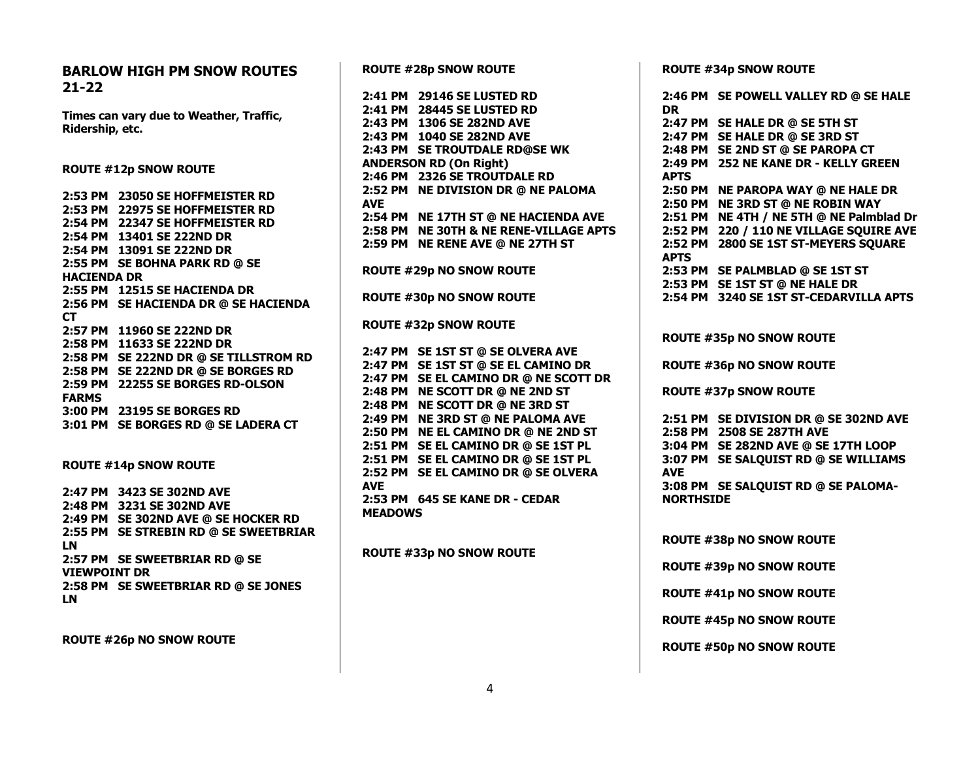**BARLOW HIGH PM SNOW ROUTES 21-22 Times can vary due to Weather, Traffic, Ridership, etc. ROUTE #12p SNOW ROUTE 2:53 PM 23050 SE HOFFMEISTER RD 2:53 PM 22975 SE HOFFMEISTER RD 2:54 PM 22347 SE HOFFMEISTER RD 2:54 PM 13401 SE 222ND DR 2:54 PM 13091 SE 222ND DR 2:55 PM SE BOHNA PARK RD @ SE HACIENDA DR 2:55 PM 12515 SE HACIENDA DR 2:56 PM SE HACIENDA DR @ SE HACIENDA CT 2:57 PM 11960 SE 222ND DR 2:58 PM 11633 SE 222ND DR 2:58 PM SE 222ND DR @ SE TILLSTROM RD 2:58 PM SE 222ND DR @ SE BORGES RD 2:59 PM 22255 SE BORGES RD-OLSON FARMS 3:00 PM 23195 SE BORGES RD 3:01 PM SE BORGES RD @ SE LADERA CT ROUTE #14p SNOW ROUTE 2:47 PM 3423 SE 302ND AVE 2:48 PM 3231 SE 302ND AVE 2:49 PM SE 302ND AVE @ SE HOCKER RD 2:55 PM SE STREBIN RD @ SE SWEETBRIAR LN 2:57 PM SE SWEETBRIAR RD @ SE VIEWPOINT DR 2:58 PM SE SWEETBRIAR RD @ SE JONES LN**

**ROUTE #26p NO SNOW ROUTE**

**ROUTE #28p SNOW ROUTE 2:41 PM 29146 SE LUSTED RD 2:41 PM 28445 SE LUSTED RD 2:43 PM 1306 SE 282ND AVE 2:43 PM 1040 SE 282ND AVE 2:43 PM SE TROUTDALE RD@SE WK ANDERSON RD (On Right) 2:46 PM 2326 SE TROUTDALE RD 2:52 PM NE DIVISION DR @ NE PALOMA AVE 2:54 PM NE 17TH ST @ NE HACIENDA AVE 2:58 PM NE 30TH & NE RENE-VILLAGE APTS 2:59 PM NE RENE AVE @ NE 27TH ST ROUTE #29p NO SNOW ROUTE ROUTE #30p NO SNOW ROUTE ROUTE #32p SNOW ROUTE 2:47 PM SE 1ST ST @ SE OLVERA AVE 2:47 PM SE 1ST ST @ SE EL CAMINO DR 2:47 PM SE EL CAMINO DR @ NE SCOTT DR 2:48 PM NE SCOTT DR @ NE 2ND ST 2:48 PM NE SCOTT DR @ NE 3RD ST 2:49 PM NE 3RD ST @ NE PALOMA AVE 2:50 PM NE EL CAMINO DR @ NE 2ND ST 2:51 PM SE EL CAMINO DR @ SE 1ST PL 2:51 PM SE EL CAMINO DR @ SE 1ST PL 2:52 PM SE EL CAMINO DR @ SE OLVERA AVE 2:53 PM 645 SE KANE DR - CEDAR MEADOWS ROUTE #33p NO SNOW ROUTE**

**ROUTE #34p SNOW ROUTE**

|                                 | 2:46 PM SE POWELL VALLEY RD @ SE HALE  |
|---------------------------------|----------------------------------------|
| <b>DR</b>                       |                                        |
|                                 | 2:47 PM SE HALE DR @ SE 5TH ST         |
|                                 | 2:47 PM SE HALE DR @ SE 3RD ST         |
|                                 | 2:48 PM SE 2ND ST @ SE PAROPA CT       |
|                                 | 2:49 PM 252 NE KANE DR - KELLY GREEN   |
| <b>APTS</b>                     |                                        |
| 2:50 PM                         | <b>NE PAROPA WAY @ NE HALE DR</b>      |
| 2:50 PM                         | <b>NE 3RD ST @ NE ROBIN WAY</b>        |
| 2:51 PM                         | NE 4TH / NE 5TH @ NE Palmblad Dr       |
| 2:52 PM                         | 220 / 110 NE VILLAGE SQUIRE AVE        |
| 2:52 PM                         | 2800 SE 1ST ST-MEYERS SQUARE           |
| <b>APTS</b>                     |                                        |
|                                 | 2:53 PM SE PALMBLAD @ SE 1ST ST        |
|                                 | 2:53 PM SE 1ST ST @ NE HALE DR         |
|                                 | 2:54 PM 3240 SE 1ST ST-CEDARVILLA APTS |
|                                 |                                        |
| <b>ROUTE #35p NO SNOW ROUTE</b> |                                        |
|                                 |                                        |
|                                 | <b>ROUTE #36p NO SNOW ROUTE</b>        |
|                                 |                                        |
| <b>ROUTE #37p SNOW ROUTE</b>    |                                        |
|                                 |                                        |
|                                 | 2:51 PM SE DIVISION DR @ SE 302ND AVE  |
|                                 | 2:58 PM 2508 SE 287TH AVE              |
|                                 | 3:04 PM SE 282ND AVE @ SE 17TH LOOP    |
|                                 | 3:07 PM SE SALQUIST RD @ SE WILLIAMS   |
| <b>AVE</b>                      |                                        |
|                                 | 3:08 PM SE SALQUIST RD @ SE PALOMA-    |
| <b>NORTHSIDE</b>                |                                        |
|                                 |                                        |
|                                 |                                        |
|                                 | <b>ROUTE #38p NO SNOW ROUTE</b>        |
|                                 |                                        |
|                                 | <b>ROUTE #39p NO SNOW ROUTE</b>        |
|                                 |                                        |
|                                 | <b>ROUTE #41p NO SNOW ROUTE</b>        |
|                                 |                                        |

**ROUTE #45p NO SNOW ROUTE**

**ROUTE #50p NO SNOW ROUTE**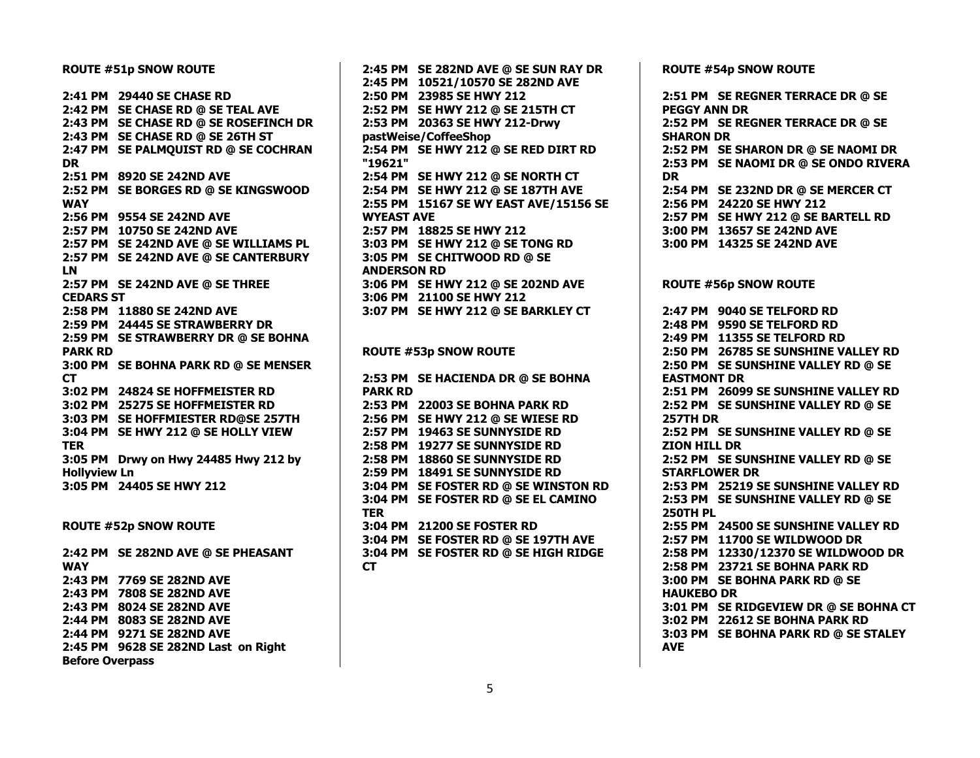**ROUTE #51p SNOW ROUTE 2:41 PM 29440 SE CHASE RD 2:42 PM SE CHASE RD @ SE TEAL AVE 2:43 PM SE CHASE RD @ SE ROSEFINCH DR 2:43 PM SE CHASE RD @ SE 26TH ST 2:47 PM SE PALMQUIST RD @ SE COCHRAN DR 2:51 PM 8920 SE 242ND AVE 2:52 PM SE BORGES RD @ SE KINGSWOOD WAY 2:56 PM 9554 SE 242ND AVE 2:57 PM 10750 SE 242ND AVE 2:57 PM SE 242ND AVE @ SE WILLIAMS PL 2:57 PM SE 242ND AVE @ SE CANTERBURY LN 2:57 PM SE 242ND AVE @ SE THREE CEDARS ST 2:58 PM 11880 SE 242ND AVE 2:59 PM 24445 SE STRAWBERRY DR 2:59 PM SE STRAWBERRY DR @ SE BOHNA PARK RD 3:00 PM SE BOHNA PARK RD @ SE MENSER CT 3:02 PM 24824 SE HOFFMEISTER RD 3:02 PM 25275 SE HOFFMEISTER RD 3:03 PM SE HOFFMIESTER RD@SE 257TH 3:04 PM SE HWY 212 @ SE HOLLY VIEW TER 3:05 PM Drwy on Hwy 24485 Hwy 212 by Hollyview Ln 3:05 PM 24405 SE HWY 212**

**ROUTE #52p SNOW ROUTE**

**2:42 PM SE 282ND AVE @ SE PHEASANT WAY 2:43 PM 7769 SE 282ND AVE 2:43 PM 7808 SE 282ND AVE 2:43 PM 8024 SE 282ND AVE 2:44 PM 8083 SE 282ND AVE 2:44 PM 9271 SE 282ND AVE 2:45 PM 9628 SE 282ND Last on Right Before Overpass**

**2:45 PM SE 282ND AVE @ SE SUN RAY DR 2:45 PM 10521/10570 SE 282ND AVE 2:50 PM 23985 SE HWY 212 2:52 PM SE HWY 212 @ SE 215TH CT 2:53 PM 20363 SE HWY 212-Drwy pastWeise/CoffeeShop 2:54 PM SE HWY 212 @ SE RED DIRT RD "19621" 2:54 PM SE HWY 212 @ SE NORTH CT 2:54 PM SE HWY 212 @ SE 187TH AVE 2:55 PM 15167 SE WY EAST AVE/15156 SE WYEAST AVE 2:57 PM 18825 SE HWY 212 3:03 PM SE HWY 212 @ SE TONG RD 3:05 PM SE CHITWOOD RD @ SE ANDERSON RD 3:06 PM SE HWY 212 @ SE 202ND AVE 3:06 PM 21100 SE HWY 212 3:07 PM SE HWY 212 @ SE BARKLEY CT ROUTE #53p SNOW ROUTE 2:53 PM SE HACIENDA DR @ SE BOHNA PARK RD 2:53 PM 22003 SE BOHNA PARK RD 2:56 PM SE HWY 212 @ SE WIESE RD 2:57 PM 19463 SE SUNNYSIDE RD 2:58 PM 19277 SE SUNNYSIDE RD 2:58 PM 18860 SE SUNNYSIDE RD 2:59 PM 18491 SE SUNNYSIDE RD 3:04 PM SE FOSTER RD @ SE WINSTON RD 3:04 PM SE FOSTER RD @ SE EL CAMINO TER 3:04 PM 21200 SE FOSTER RD 3:04 PM SE FOSTER RD @ SE 197TH AVE 3:04 PM SE FOSTER RD @ SE HIGH RIDGE CT**

**ROUTE #54p SNOW ROUTE**

**2:51 PM SE REGNER TERRACE DR @ SE PEGGY ANN DR 2:52 PM SE REGNER TERRACE DR @ SE SHARON DR 2:52 PM SE SHARON DR @ SE NAOMI DR 2:53 PM SE NAOMI DR @ SE ONDO RIVERA DR 2:54 PM SE 232ND DR @ SE MERCER CT 2:56 PM 24220 SE HWY 212 2:57 PM SE HWY 212 @ SE BARTELL RD 3:00 PM 13657 SE 242ND AVE 3:00 PM 14325 SE 242ND AVE ROUTE #56p SNOW ROUTE 2:47 PM 9040 SE TELFORD RD 2:48 PM 9590 SE TELFORD RD 2:49 PM 11355 SE TELFORD RD 2:50 PM 26785 SE SUNSHINE VALLEY RD 2:50 PM SE SUNSHINE VALLEY RD @ SE EASTMONT DR 2:51 PM 26099 SE SUNSHINE VALLEY RD 2:52 PM SE SUNSHINE VALLEY RD @ SE 257TH DR 2:52 PM SE SUNSHINE VALLEY RD @ SE ZION HILL DR 2:52 PM SE SUNSHINE VALLEY RD @ SE STARFLOWER DR 2:53 PM 25219 SE SUNSHINE VALLEY RD 2:53 PM SE SUNSHINE VALLEY RD @ SE 250TH PL 2:55 PM 24500 SE SUNSHINE VALLEY RD 2:57 PM 11700 SE WILDWOOD DR 2:58 PM 12330/12370 SE WILDWOOD DR 2:58 PM 23721 SE BOHNA PARK RD 3:00 PM SE BOHNA PARK RD @ SE HAUKEBO DR 3:01 PM SE RIDGEVIEW DR @ SE BOHNA CT 3:02 PM 22612 SE BOHNA PARK RD 3:03 PM SE BOHNA PARK RD @ SE STALEY AVE**